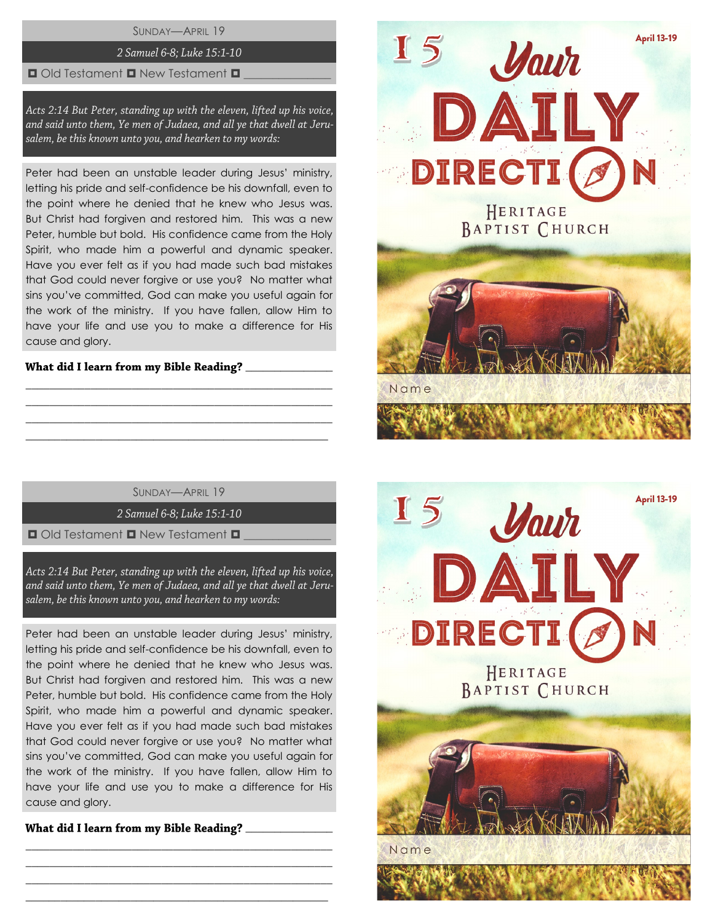SUNDAY—APRIL 19

# 2 Samuel 6-8; Luke 15:1-10

### $\Box$  Old Testament  $\Box$  New Testament  $\Box$

Acts 2:14 But Peter, standing up with the eleven, lifted up his voice, and said unto them, Ye men of Judaea, and all ye that dwell at Jerusalem, be this known unto you, and hearken to my words:

Peter had been an unstable leader during Jesus' ministry, letting his pride and self-confidence be his downfall, even to the point where he denied that he knew who Jesus was. But Christ had forgiven and restored him. This was a new Peter, humble but bold. His confidence came from the Holy Spirit, who made him a powerful and dynamic speaker. Have you ever felt as if you had made such bad mistakes that God could never forgive or use you? No matter what sins you've committed, God can make you useful again for the work of the ministry. If you have fallen, allow Him to have your life and use you to make a difference for His cause and glory.

## What did I learn from my Bible Reading?

SUNDAY—APRIL 19

\_\_\_\_\_\_\_\_\_\_\_\_\_\_\_\_\_\_\_\_\_\_\_\_\_\_\_\_\_\_\_\_\_\_\_\_\_\_\_\_\_\_\_\_\_\_\_\_\_\_\_\_ \_\_\_\_\_\_\_\_\_\_\_\_\_\_\_\_\_\_\_\_\_\_\_\_\_\_\_\_\_\_\_\_\_\_\_\_\_\_\_\_\_\_\_\_\_\_\_\_\_\_\_\_ \_\_\_\_\_\_\_\_\_\_\_\_\_\_\_\_\_\_\_\_\_\_\_\_\_\_\_\_\_\_\_\_\_\_\_\_\_\_\_\_\_\_\_\_\_\_\_\_\_\_\_\_ \_\_\_\_\_\_\_\_\_\_\_\_\_\_\_\_\_\_\_\_\_\_\_\_\_\_\_\_\_\_\_\_\_\_\_\_\_\_\_\_\_\_\_\_\_\_\_\_\_\_\_\_

2 Samuel 6-8; Luke 15:1-10

 $\Box$  Old Testament  $\Box$  New Testament  $\Box$ 

Acts 2:14 But Peter, standing up with the eleven, lifted up his voice, and said unto them, Ye men of Judaea, and all ye that dwell at Jerusalem, be this known unto you, and hearken to my words:

Peter had been an unstable leader during Jesus' ministry, letting his pride and self-confidence be his downfall, even to the point where he denied that he knew who Jesus was. But Christ had forgiven and restored him. This was a new Peter, humble but bold. His confidence came from the Holy Spirit, who made him a powerful and dynamic speaker. Have you ever felt as if you had made such bad mistakes that God could never forgive or use you? No matter what sins you've committed, God can make you useful again for the work of the ministry. If you have fallen, allow Him to have your life and use you to make a difference for His cause and glory.

\_\_\_\_\_\_\_\_\_\_\_\_\_\_\_\_\_\_\_\_\_\_\_\_\_\_\_\_\_\_\_\_\_\_\_\_\_\_\_\_\_\_\_\_\_\_\_\_\_\_\_\_ \_\_\_\_\_\_\_\_\_\_\_\_\_\_\_\_\_\_\_\_\_\_\_\_\_\_\_\_\_\_\_\_\_\_\_\_\_\_\_\_\_\_\_\_\_\_\_\_\_\_\_\_ \_\_\_\_\_\_\_\_\_\_\_\_\_\_\_\_\_\_\_\_\_\_\_\_\_\_\_\_\_\_\_\_\_\_\_\_\_\_\_\_\_\_\_\_\_\_\_\_\_\_\_\_ \_\_\_\_\_\_\_\_\_\_\_\_\_\_\_\_\_\_\_\_\_\_\_\_\_\_\_\_\_\_\_\_\_\_\_\_\_\_\_\_\_\_\_\_\_\_\_\_\_\_\_\_

\_\_\_\_\_\_\_\_\_\_\_\_\_\_\_



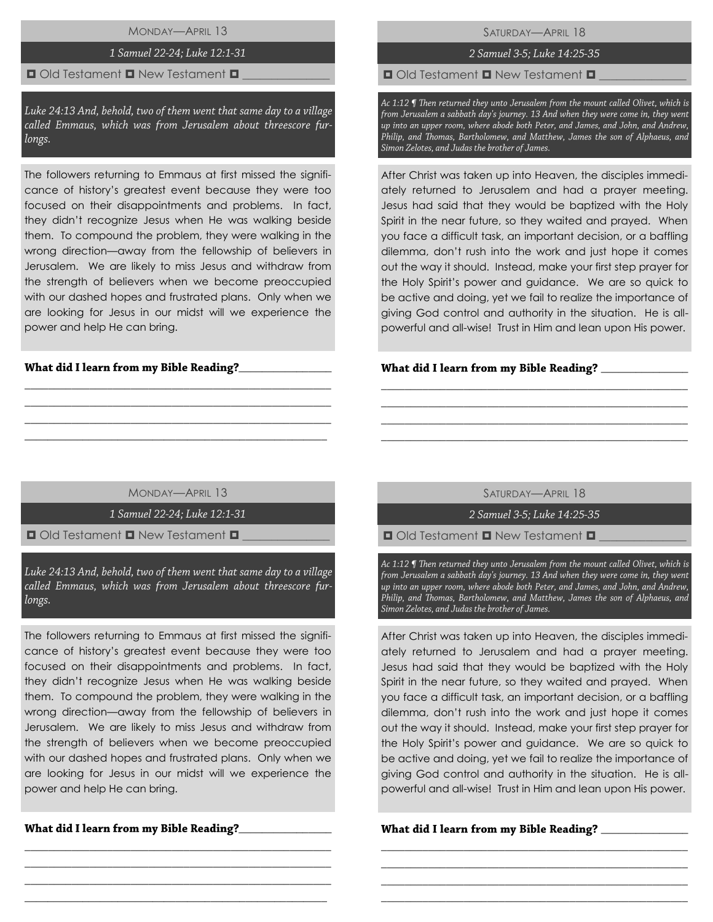MONDAY—APRIL 13

## 1 Samuel 22-24; Luke 12:1-31

### $\Box$  Old Testament  $\Box$  New Testament  $\Box$

Luke 24:13 And, behold, two of them went that same day to a village called Emmaus, which was from Jerusalem about threescore furlongs.

The followers returning to Emmaus at first missed the significance of history's greatest event because they were too focused on their disappointments and problems. In fact, they didn't recognize Jesus when He was walking beside them. To compound the problem, they were walking in the wrong direction—away from the fellowship of believers in Jerusalem. We are likely to miss Jesus and withdraw from the strength of believers when we become preoccupied with our dashed hopes and frustrated plans. Only when we are looking for Jesus in our midst will we experience the power and help He can bring.

## What did I learn from my Bible Reading?\_\_

SATURDAY—APRIL 18

# 2 Samuel 3-5; Luke 14:25-35

 $\Box$  Old Testament  $\Box$  New Testament  $\Box$ 

Ac 1:12 ¶ Then returned they unto Jerusalem from the mount called Olivet, which is from Jerusalem a sabbath day's journey. 13 And when they were come in, they went up into an upper room, where abode both Peter, and James, and John, and Andrew, Philip, and Thomas, Bartholomew, and Matthew, James the son of Alphaeus, and Simon Zelotes, and Judas the brother of James.

After Christ was taken up into Heaven, the disciples immediately returned to Jerusalem and had a prayer meeting. Jesus had said that they would be baptized with the Holy Spirit in the near future, so they waited and prayed. When you face a difficult task, an important decision, or a baffling dilemma, don't rush into the work and just hope it comes out the way it should. Instead, make your first step prayer for the Holy Spirit's power and guidance. We are so quick to be active and doing, yet we fail to realize the importance of giving God control and authority in the situation. He is allpowerful and all-wise! Trust in Him and lean upon His power.

#### \_\_\_\_\_\_\_\_\_\_\_\_\_\_\_

MONDAY—APRIL 13

\_\_\_\_\_\_\_\_\_\_\_\_\_\_\_\_\_\_\_\_\_\_\_\_\_\_\_\_\_\_\_\_\_\_\_\_\_\_\_\_\_\_\_\_\_\_\_\_\_\_\_\_ \_\_\_\_\_\_\_\_\_\_\_\_\_\_\_\_\_\_\_\_\_\_\_\_\_\_\_\_\_\_\_\_\_\_\_\_\_\_\_\_\_\_\_\_\_\_\_\_\_\_\_\_ \_\_\_\_\_\_\_\_\_\_\_\_\_\_\_\_\_\_\_\_\_\_\_\_\_\_\_\_\_\_\_\_\_\_\_\_\_\_\_\_\_\_\_\_\_\_\_\_\_\_\_\_ \_\_\_\_\_\_\_\_\_\_\_\_\_\_\_\_\_\_\_\_\_\_\_\_\_\_\_\_\_\_\_\_\_\_\_\_\_\_\_\_\_\_\_\_\_\_\_\_\_\_\_\_

1 Samuel 22-24; Luke 12:1-31

 $\Box$  Old Testament  $\Box$  New Testament  $\Box$ 

Luke 24:13 And, behold, two of them went that same day to a village called Emmaus, which was from Jerusalem about threescore furlongs.

The followers returning to Emmaus at first missed the significance of history's greatest event because they were too focused on their disappointments and problems. In fact, they didn't recognize Jesus when He was walking beside them. To compound the problem, they were walking in the wrong direction—away from the fellowship of believers in Jerusalem. We are likely to miss Jesus and withdraw from the strength of believers when we become preoccupied with our dashed hopes and frustrated plans. Only when we are looking for Jesus in our midst will we experience the power and help He can bring.

\_\_\_\_\_\_\_\_\_\_\_\_\_\_\_\_\_\_\_\_\_\_\_\_\_\_\_\_\_\_\_\_\_\_\_\_\_\_\_\_\_\_\_\_\_\_\_\_\_\_\_\_ \_\_\_\_\_\_\_\_\_\_\_\_\_\_\_\_\_\_\_\_\_\_\_\_\_\_\_\_\_\_\_\_\_\_\_\_\_\_\_\_\_\_\_\_\_\_\_\_\_\_\_\_ \_\_\_\_\_\_\_\_\_\_\_\_\_\_\_\_\_\_\_\_\_\_\_\_\_\_\_\_\_\_\_\_\_\_\_\_\_\_\_\_\_\_\_\_\_\_\_\_\_\_\_\_ \_\_\_\_\_\_\_\_\_\_\_\_\_\_\_\_\_\_\_\_\_\_\_\_\_\_\_\_\_\_\_\_\_\_\_\_\_\_\_\_\_\_\_\_\_\_\_\_\_\_\_\_

What did I learn from my Bible Reading?\_\_\_

SATURDAY—APRIL 18

\_\_\_\_\_\_\_\_\_\_\_\_\_\_\_\_\_\_\_\_\_\_\_\_\_\_\_\_\_\_\_\_\_\_\_\_\_\_\_\_\_\_\_\_\_\_\_\_\_\_\_\_ \_\_\_\_\_\_\_\_\_\_\_\_\_\_\_\_\_\_\_\_\_\_\_\_\_\_\_\_\_\_\_\_\_\_\_\_\_\_\_\_\_\_\_\_\_\_\_\_\_\_\_\_ \_\_\_\_\_\_\_\_\_\_\_\_\_\_\_\_\_\_\_\_\_\_\_\_\_\_\_\_\_\_\_\_\_\_\_\_\_\_\_\_\_\_\_\_\_\_\_\_\_\_\_\_ \_\_\_\_\_\_\_\_\_\_\_\_\_\_\_\_\_\_\_\_\_\_\_\_\_\_\_\_\_\_\_\_\_\_\_\_\_\_\_\_\_\_\_\_\_\_\_\_\_\_\_\_

2 Samuel 3-5; Luke 14:25-35

 $\Box$  Old Testament  $\Box$  New Testament  $\Box$ 

Ac 1:12 ¶ Then returned they unto Jerusalem from the mount called Olivet, which is from Jerusalem a sabbath day's journey. 13 And when they were come in, they went up into an upper room, where abode both Peter, and James, and John, and Andrew, Philip, and Thomas, Bartholomew, and Matthew, James the son of Alphaeus, and Simon Zelotes, and Judas the brother of James.

After Christ was taken up into Heaven, the disciples immediately returned to Jerusalem and had a prayer meeting. Jesus had said that they would be baptized with the Holy Spirit in the near future, so they waited and prayed. When you face a difficult task, an important decision, or a baffling dilemma, don't rush into the work and just hope it comes out the way it should. Instead, make your first step prayer for the Holy Spirit's power and guidance. We are so quick to be active and doing, yet we fail to realize the importance of giving God control and authority in the situation. He is allpowerful and all-wise! Trust in Him and lean upon His power.

\_\_\_\_\_\_\_\_\_\_\_\_\_\_\_\_\_\_\_\_\_\_\_\_\_\_\_\_\_\_\_\_\_\_\_\_\_\_\_\_\_\_\_\_\_\_\_\_\_\_\_\_ \_\_\_\_\_\_\_\_\_\_\_\_\_\_\_\_\_\_\_\_\_\_\_\_\_\_\_\_\_\_\_\_\_\_\_\_\_\_\_\_\_\_\_\_\_\_\_\_\_\_\_\_ \_\_\_\_\_\_\_\_\_\_\_\_\_\_\_\_\_\_\_\_\_\_\_\_\_\_\_\_\_\_\_\_\_\_\_\_\_\_\_\_\_\_\_\_\_\_\_\_\_\_\_\_ \_\_\_\_\_\_\_\_\_\_\_\_\_\_\_\_\_\_\_\_\_\_\_\_\_\_\_\_\_\_\_\_\_\_\_\_\_\_\_\_\_\_\_\_\_\_\_\_\_\_\_\_

What did I learn from my Bible Reading? \_\_\_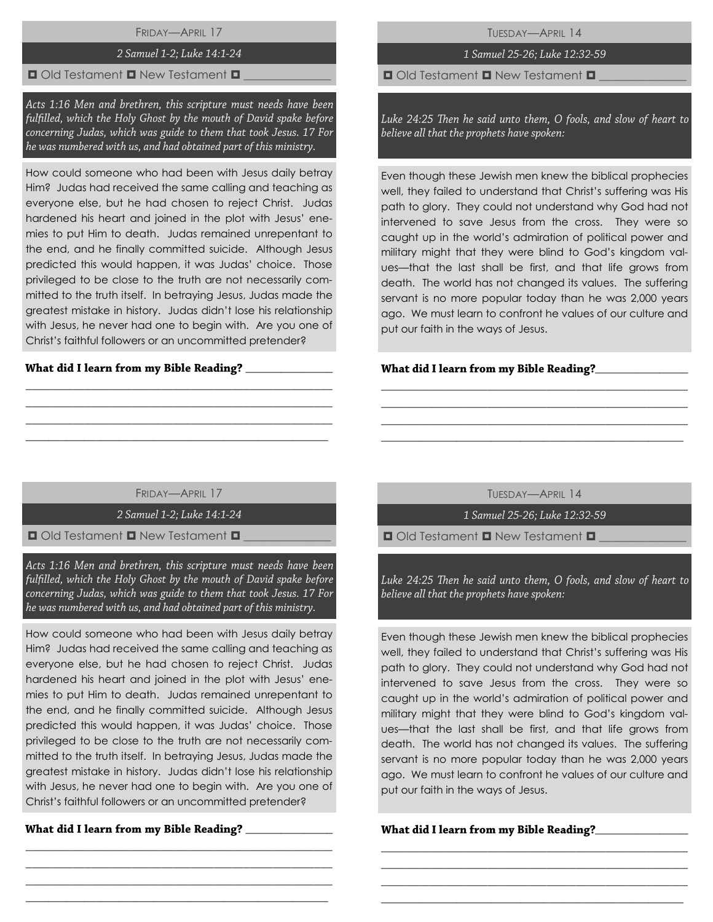FRIDAY—APRIL 17

## 2 Samuel 1-2; Luke 14:1-24

## $\Box$  Old Testament  $\Box$  New Testament  $\Box$

Acts 1:16 Men and brethren, this scripture must needs have been fulfilled, which the Holy Ghost by the mouth of David spake before concerning Judas, which was guide to them that took Jesus. 17 For he was numbered with us, and had obtained part of this ministry.

How could someone who had been with Jesus daily betray Him? Judas had received the same calling and teaching as everyone else, but he had chosen to reject Christ. Judas hardened his heart and joined in the plot with Jesus' enemies to put Him to death. Judas remained unrepentant to the end, and he finally committed suicide. Although Jesus predicted this would happen, it was Judas' choice. Those privileged to be close to the truth are not necessarily committed to the truth itself. In betraying Jesus, Judas made the greatest mistake in history. Judas didn't lose his relationship with Jesus, he never had one to begin with. Are you one of Christ's faithful followers or an uncommitted pretender?

## What did I learn from my Bible Reading? \_\_\_

TUESDAY—APRIL 14

# 1 Samuel 25-26; Luke 12:32-59

 $\Box$  Old Testament  $\Box$  New Testament  $\Box$ 

Luke 24:25 Then he said unto them, O fools, and slow of heart to believe all that the prophets have spoken:

Even though these Jewish men knew the biblical prophecies well, they failed to understand that Christ's suffering was His path to glory. They could not understand why God had not intervened to save Jesus from the cross. They were so caught up in the world's admiration of political power and military might that they were blind to God's kingdom values—that the last shall be first, and that life grows from death. The world has not changed its values. The suffering servant is no more popular today than he was 2,000 years ago. We must learn to confront he values of our culture and put our faith in the ways of Jesus.

## **\_**\_\_\_\_\_\_\_\_\_\_\_\_\_\_\_

FRIDAY—APRIL 17

\_\_\_\_\_\_\_\_\_\_\_\_\_\_\_\_\_\_\_\_\_\_\_\_\_\_\_\_\_\_\_\_\_\_\_\_\_\_\_\_\_\_\_\_\_\_\_\_\_\_\_\_ \_\_\_\_\_\_\_\_\_\_\_\_\_\_\_\_\_\_\_\_\_\_\_\_\_\_\_\_\_\_\_\_\_\_\_\_\_\_\_\_\_\_\_\_\_\_\_\_\_\_\_\_ \_\_\_\_\_\_\_\_\_\_\_\_\_\_\_\_\_\_\_\_\_\_\_\_\_\_\_\_\_\_\_\_\_\_\_\_\_\_\_\_\_\_\_\_\_\_\_\_\_\_\_\_ \_\_\_\_\_\_\_\_\_\_\_\_\_\_\_\_\_\_\_\_\_\_\_\_\_\_\_\_\_\_\_\_\_\_\_\_\_\_\_\_\_\_\_\_\_\_\_\_\_\_\_\_

2 Samuel 1-2; Luke 14:1-24

 $\Box$  Old Testament  $\Box$  New Testament  $\Box$ 

Acts 1:16 Men and brethren, this scripture must needs have been fulfilled, which the Holy Ghost by the mouth of David spake before concerning Judas, which was guide to them that took Jesus. 17 For he was numbered with us, and had obtained part of this ministry.

How could someone who had been with Jesus daily betray Him? Judas had received the same calling and teaching as everyone else, but he had chosen to reject Christ. Judas hardened his heart and joined in the plot with Jesus' enemies to put Him to death. Judas remained unrepentant to the end, and he finally committed suicide. Although Jesus predicted this would happen, it was Judas' choice. Those privileged to be close to the truth are not necessarily committed to the truth itself. In betraying Jesus, Judas made the greatest mistake in history. Judas didn't lose his relationship with Jesus, he never had one to begin with. Are you one of Christ's faithful followers or an uncommitted pretender?

\_\_\_\_\_\_\_\_\_\_\_\_\_\_\_\_\_\_\_\_\_\_\_\_\_\_\_\_\_\_\_\_\_\_\_\_\_\_\_\_\_\_\_\_\_\_\_\_\_\_\_\_ \_\_\_\_\_\_\_\_\_\_\_\_\_\_\_\_\_\_\_\_\_\_\_\_\_\_\_\_\_\_\_\_\_\_\_\_\_\_\_\_\_\_\_\_\_\_\_\_\_\_\_\_ \_\_\_\_\_\_\_\_\_\_\_\_\_\_\_\_\_\_\_\_\_\_\_\_\_\_\_\_\_\_\_\_\_\_\_\_\_\_\_\_\_\_\_\_\_\_\_\_\_\_\_\_ \_\_\_\_\_\_\_\_\_\_\_\_\_\_\_\_\_\_\_\_\_\_\_\_\_\_\_\_\_\_\_\_\_\_\_\_\_\_\_\_\_\_\_\_\_\_\_\_\_\_\_\_

What did I learn from my Bible Reading?

TUESDAY—APRIL 14

\_\_\_\_\_\_\_\_\_\_\_\_\_\_\_\_\_\_\_\_\_\_\_\_\_\_\_\_\_\_\_\_\_\_\_\_\_\_\_\_\_\_\_\_\_\_\_\_\_\_\_\_ \_\_\_\_\_\_\_\_\_\_\_\_\_\_\_\_\_\_\_\_\_\_\_\_\_\_\_\_\_\_\_\_\_\_\_\_\_\_\_\_\_\_\_\_\_\_\_\_\_\_\_\_ \_\_\_\_\_\_\_\_\_\_\_\_\_\_\_\_\_\_\_\_\_\_\_\_\_\_\_\_\_\_\_\_\_\_\_\_\_\_\_\_\_\_\_\_\_\_\_\_\_\_\_\_ \_\_\_\_\_\_\_\_\_\_\_\_\_\_\_\_\_\_\_\_\_\_\_\_\_\_\_\_\_\_\_\_\_\_\_\_\_\_\_\_\_\_\_\_\_\_\_\_\_\_\_\_

1 Samuel 25-26; Luke 12:32-59

 $\Box$  Old Testament  $\Box$  New Testament  $\Box$ 

Luke 24:25 Then he said unto them, O fools, and slow of heart to believe all that the prophets have spoken:

Even though these Jewish men knew the biblical prophecies well, they failed to understand that Christ's suffering was His path to glory. They could not understand why God had not intervened to save Jesus from the cross. They were so caught up in the world's admiration of political power and military might that they were blind to God's kingdom values—that the last shall be first, and that life grows from death. The world has not changed its values. The suffering servant is no more popular today than he was 2,000 years ago. We must learn to confront he values of our culture and put our faith in the ways of Jesus.

\_\_\_\_\_\_\_\_\_\_\_\_\_\_\_\_\_\_\_\_\_\_\_\_\_\_\_\_\_\_\_\_\_\_\_\_\_\_\_\_\_\_\_\_\_\_\_\_\_\_\_\_ \_\_\_\_\_\_\_\_\_\_\_\_\_\_\_\_\_\_\_\_\_\_\_\_\_\_\_\_\_\_\_\_\_\_\_\_\_\_\_\_\_\_\_\_\_\_\_\_\_\_\_\_ \_\_\_\_\_\_\_\_\_\_\_\_\_\_\_\_\_\_\_\_\_\_\_\_\_\_\_\_\_\_\_\_\_\_\_\_\_\_\_\_\_\_\_\_\_\_\_\_\_\_\_\_ \_\_\_\_\_\_\_\_\_\_\_\_\_\_\_\_\_\_\_\_\_\_\_\_\_\_\_\_\_\_\_\_\_\_\_\_\_\_\_\_\_\_\_\_\_\_\_\_\_\_\_\_

**\_**\_\_\_\_\_\_\_\_\_\_\_\_\_\_\_